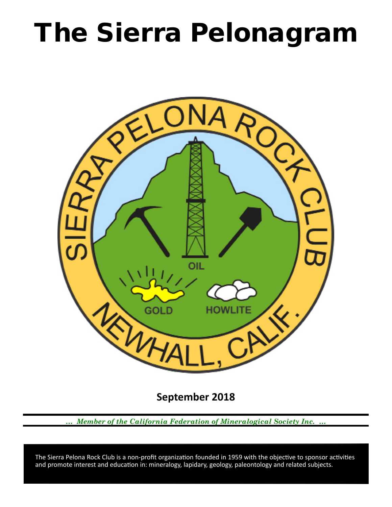# The Sierra Pelonagram



**September 2018**

*… Member of the California Federation of Mineralogical Society Inc. …*

 and promote interest and education in: mineralogy, lapidary, geology, paleontology and related subjects. The Sierra Pelona Rock Club is a non‑profit organization founded in 1959 with the objective to sponsor activities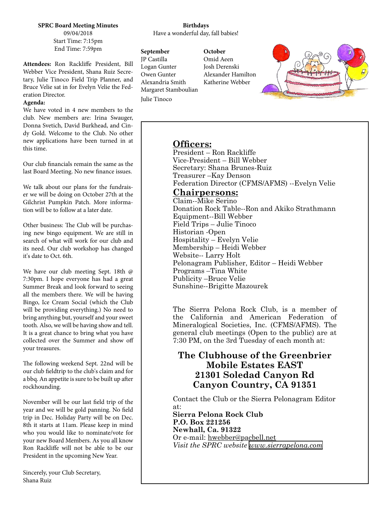**SPRC Board Meeting Minutes** 09/04/2018 Start Time: 7:15pm End Time: 7:59pm

**Attendees:** Ron Rackliffe President, Bill Webber Vice President, Shana Ruiz Secretary, Julie Tinoco Field Trip Planner, and Bruce Velie sat in for Evelyn Velie the Federation Director.

## **Agenda:**

We have voted in 4 new members to the club. New members are: Irina Swauger, Donna Svetich, David Burkhead, and Cindy Gold. Welcome to the Club. No other new applications have been turned in at this time.

Our club financials remain the same as the last Board Meeting. No new finance issues.

We talk about our plans for the fundraiser we will be doing on October 27th at the Gilchrist Pumpkin Patch. More information will be to follow at a later date.

Other business: The Club will be purchasing new bingo equipment. We are still in search of what will work for our club and its need. Our club workshop has changed it's date to Oct. 6th.

We have our club meeting Sept. 18th @ 7:30pm. I hope everyone has had a great Summer Break and look forward to seeing all the members there. We will be having Bingo, Ice Cream Social (which the Club will be providing everything.) No need to bring anything but, yourself and your sweet tooth. Also, we will be having show and tell. It is a great chance to bring what you have collected over the Summer and show off your treasures.

The following weekend Sept. 22nd will be our club fieldtrip to the club's claim and for a bbq. An appetite is sure to be built up after rockhounding.

November will be our last field trip of the year and we will be gold panning. No field trip in Dec. Holiday Party will be on Dec. 8th it starts at 11am. Please keep in mind who you would like to nominate/vote for your new Board Members. As you all know Ron Rackliffe will not be able to be our President in the upcoming New Year.

## **Birthdays** Have a wonderful day, fall babies!

**September** JP Castilla Logan Gunter Owen Gunter Alexandria Smith Margaret Stamboulian Julie Tinoco

**October** Omid Aeen Josh Derenski Alexander Hamilton Katherine Webber



# **Officers:**

President – Ron Rackliffe Vice‑President – Bill Webber Secretary: Shana Brunes-Ruiz Treasurer –Kay Denson Federation Director (CFMS/AFMS) --Evelyn Velie

# **Chairpersons:**

Claim--Mike Serino Donation Rock Table--Ron and Akiko Strathmann Equipment--Bill Webber Field Trips – Julie Tinoco Historian ‑Open Hospitality – Evelyn Velie Membership – Heidi Webber Website-- Larry Holt Pelonagram Publisher, Editor – Heidi Webber Programs –Tina White Publicity –Bruce Velie Sunshine--Brigitte Mazourek

The Sierra Pelona Rock Club, is a member of the California and American Federation of Mineralogical Societies, Inc. (CFMS/AFMS). The general club meetings (Open to the public) are at 7:30 PM, on the 3rd Tuesday of each month at:

# **The Clubhouse of the Greenbrier Mobile Estates EAST 21301 Soledad Canyon Rd Canyon Country, CA 91351**

Contact the Club or the Sierra Pelonagram Editor at:

**Sierra Pelona Rock Club P.O. Box 221256 Newhall, Ca. 91322** Or e‑mail: hwebber@pacbell.net *Visit the SPRC website [www.sierrapelona.com](http://www.sierrapelona.com/)*

Sincerely, your Club Secretary, Shana Ruiz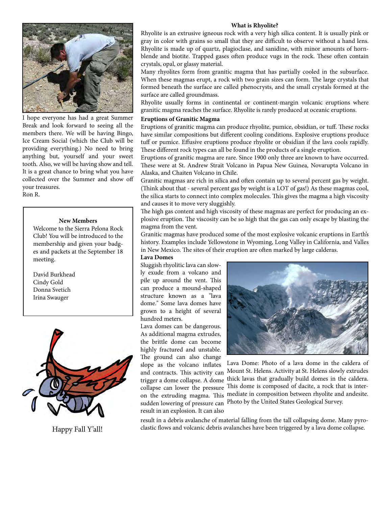

I hope everyone has had a great Summer Break and look forward to seeing all the members there. We will be having Bingo, Ice Cream Social (which the Club will be providing everything.) No need to bring anything but, yourself and your sweet tooth. Also, we will be having show and tell. It is a great chance to bring what you have collected over the Summer and show off your treasures. Ron R.

# **New Members**

Welcome to the Sierra Pelona Rock Club! You will be introduced to the membership and given your badges and packets at the September 18 meeting.

David Burkhead Cindy Gold Donna Svetich Irina Swauger



#### **What is Rhyolite?**

Rhyolite is an extrusive igneous rock with a very high silica content. It is usually pink or gray in color with grains so small that they are difficult to observe without a hand lens. Rhyolite is made up of quartz, plagioclase, and sanidine, with minor amounts of hornblende and biotite. Trapped gases often produce vugs in the rock. These often contain crystals, opal, or glassy material.

Many rhyolites form from granitic magma that has partially cooled in the subsurface. When these magmas erupt, a rock with two grain sizes can form. The large crystals that formed beneath the surface are called phenocrysts, and the small crystals formed at the surface are called groundmass.

Rhyolite usually forms in continental or continent-margin volcanic eruptions where granitic magma reaches the surface. Rhyolite is rarely produced at oceanic eruptions.

## **Eruptions of Granitic Magma**

Eruptions of granitic magma can produce rhyolite, pumice, obsidian, or tuff. These rocks have similar compositions but different cooling conditions. Explosive eruptions produce tuff or pumice. Effusive eruptions produce rhyolite or obsidian if the lava cools rapidly. These different rock types can all be found in the products of a single eruption.

Eruptions of granitic magma are rare. Since 1900 only three are known to have occurred. These were at St. Andrew Strait Volcano in Papua New Guinea, Novarupta Volcano in Alaska, and Chaiten Volcano in Chile.

Granitic magmas are rich in silica and often contain up to several percent gas by weight. (Think about that - several percent gas by weight is a LOT of gas!) As these magmas cool, the silica starts to connect into complex molecules. This gives the magma a high viscosity and causes it to move very sluggishly.

The high gas content and high viscosity of these magmas are perfect for producing an explosive eruption. The viscosity can be so high that the gas can only escape by blasting the magma from the vent.

Granitic magmas have produced some of the most explosive volcanic eruptions in Earth's history. Examples include Yellowstone in Wyoming, Long Valley in California, and Valles in New Mexico. The sites of their eruption are often marked by large calderas.

### **Lava Domes**

Sluggish rhyolitic lava can slowly exude from a volcano and pile up around the vent. This can produce a mound-shaped structure known as a "lava dome." Some lava domes have grown to a height of several hundred meters.

Lava domes can be dangerous. As additional magma extrudes, the brittle dome can become highly fractured and unstable. The ground can also change slope as the volcano inflates result in an explosion. It can also



Lava Dome: Photo of a lava dome in the caldera of and contracts. This activity can Mount St. Helens. Activity at St. Helens slowly extrudes trigger a dome collapse. A dome thick lavas that gradually build domes in the caldera. collapse can lower the pressure This dome is composed of dacite, a rock that is interon the extruding magma. This mediate in composition between rhyolite and andesite. sudden lowering of pressure can Photo by the United States Geological Survey.

result in a debris avalanche of material falling from the tall collapsing dome. Many pyro-Happy Fall Y'all! clastic flows and volcanic debris avalanches have been triggered by a lava dome collapse.